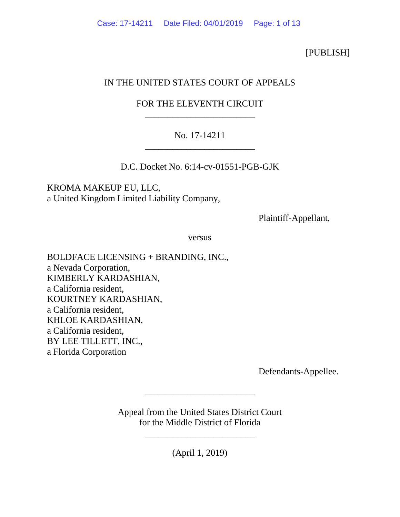[PUBLISH]

# IN THE UNITED STATES COURT OF APPEALS

# FOR THE ELEVENTH CIRCUIT \_\_\_\_\_\_\_\_\_\_\_\_\_\_\_\_\_\_\_\_\_\_\_\_

# No. 17-14211 \_\_\_\_\_\_\_\_\_\_\_\_\_\_\_\_\_\_\_\_\_\_\_\_

D.C. Docket No. 6:14-cv-01551-PGB-GJK

KROMA MAKEUP EU, LLC, a United Kingdom Limited Liability Company,

Plaintiff-Appellant,

versus

BOLDFACE LICENSING + BRANDING, INC., a Nevada Corporation, KIMBERLY KARDASHIAN, a California resident, KOURTNEY KARDASHIAN, a California resident, KHLOE KARDASHIAN, a California resident, BY LEE TILLETT, INC., a Florida Corporation

Defendants-Appellee.

Appeal from the United States District Court for the Middle District of Florida

\_\_\_\_\_\_\_\_\_\_\_\_\_\_\_\_\_\_\_\_\_\_\_\_

(April 1, 2019)

\_\_\_\_\_\_\_\_\_\_\_\_\_\_\_\_\_\_\_\_\_\_\_\_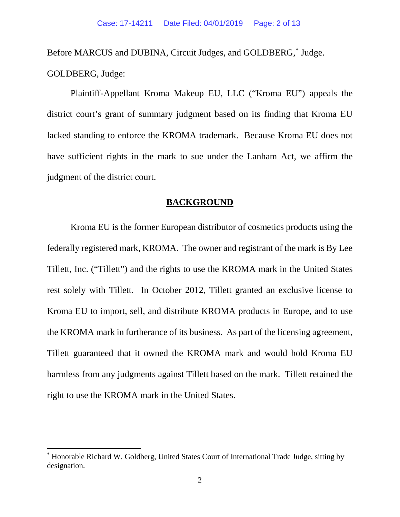Before MARCUS and DUBINA, Circuit Judges, and GOLDBERG,[\\*](#page-1-0) Judge. GOLDBERG, Judge:

Plaintiff-Appellant Kroma Makeup EU, LLC ("Kroma EU") appeals the district court's grant of summary judgment based on its finding that Kroma EU lacked standing to enforce the KROMA trademark. Because Kroma EU does not have sufficient rights in the mark to sue under the Lanham Act, we affirm the judgment of the district court.

### **BACKGROUND**

Kroma EU is the former European distributor of cosmetics products using the federally registered mark, KROMA. The owner and registrant of the mark is By Lee Tillett, Inc. ("Tillett") and the rights to use the KROMA mark in the United States rest solely with Tillett. In October 2012, Tillett granted an exclusive license to Kroma EU to import, sell, and distribute KROMA products in Europe, and to use the KROMA mark in furtherance of its business. As part of the licensing agreement, Tillett guaranteed that it owned the KROMA mark and would hold Kroma EU harmless from any judgments against Tillett based on the mark. Tillett retained the right to use the KROMA mark in the United States.

<span id="page-1-0"></span> <sup>\*</sup> Honorable Richard W. Goldberg, United States Court of International Trade Judge, sitting by designation.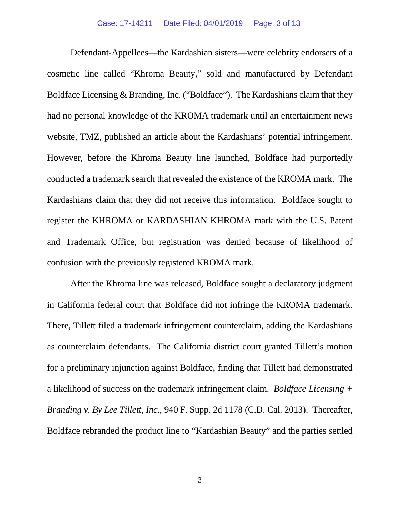Defendant-Appellees—the Kardashian sisters—were celebrity endorsers of a cosmetic line called "Khroma Beauty," sold and manufactured by Defendant Boldface Licensing & Branding, Inc. ("Boldface"). The Kardashians claim that they had no personal knowledge of the KROMA trademark until an entertainment news website, TMZ, published an article about the Kardashians' potential infringement. However, before the Khroma Beauty line launched, Boldface had purportedly conducted a trademark search that revealed the existence of the KROMA mark. The Kardashians claim that they did not receive this information. Boldface sought to register the KHROMA or KARDASHIAN KHROMA mark with the U.S. Patent and Trademark Office, but registration was denied because of likelihood of confusion with the previously registered KROMA mark.

After the Khroma line was released, Boldface sought a declaratory judgment in California federal court that Boldface did not infringe the KROMA trademark. There, Tillett filed a trademark infringement counterclaim, adding the Kardashians as counterclaim defendants. The California district court granted Tillett's motion for a preliminary injunction against Boldface, finding that Tillett had demonstrated a likelihood of success on the trademark infringement claim. *Boldface Licensing + Branding v. By Lee Tillett, Inc.*, 940 F. Supp. 2d 1178 (C.D. Cal. 2013). Thereafter, Boldface rebranded the product line to "Kardashian Beauty" and the parties settled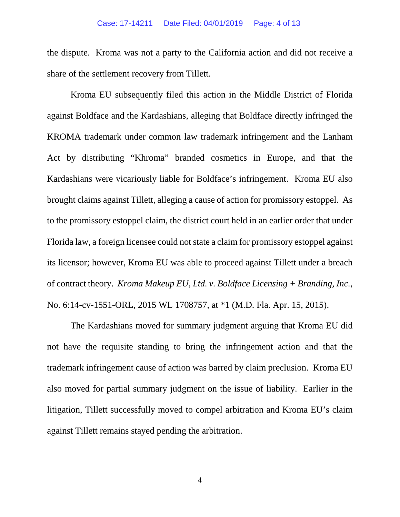the dispute. Kroma was not a party to the California action and did not receive a share of the settlement recovery from Tillett.

Kroma EU subsequently filed this action in the Middle District of Florida against Boldface and the Kardashians, alleging that Boldface directly infringed the KROMA trademark under common law trademark infringement and the Lanham Act by distributing "Khroma" branded cosmetics in Europe, and that the Kardashians were vicariously liable for Boldface's infringement. Kroma EU also brought claims against Tillett, alleging a cause of action for promissory estoppel. As to the promissory estoppel claim, the district court held in an earlier order that under Florida law, a foreign licensee could not state a claim for promissory estoppel against its licensor; however, Kroma EU was able to proceed against Tillett under a breach of contract theory. *Kroma Makeup EU, Ltd. v. Boldface Licensing + Branding, Inc.*, No. 6:14-cv-1551-ORL, 2015 WL 1708757, at \*1 (M.D. Fla. Apr. 15, 2015).

The Kardashians moved for summary judgment arguing that Kroma EU did not have the requisite standing to bring the infringement action and that the trademark infringement cause of action was barred by claim preclusion. Kroma EU also moved for partial summary judgment on the issue of liability. Earlier in the litigation, Tillett successfully moved to compel arbitration and Kroma EU's claim against Tillett remains stayed pending the arbitration.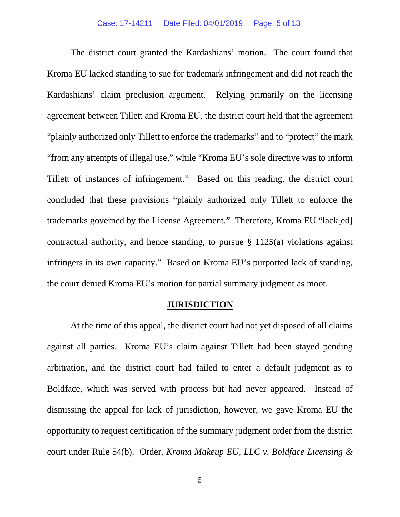The district court granted the Kardashians' motion. The court found that Kroma EU lacked standing to sue for trademark infringement and did not reach the Kardashians' claim preclusion argument. Relying primarily on the licensing agreement between Tillett and Kroma EU, the district court held that the agreement "plainly authorized only Tillett to enforce the trademarks" and to "protect" the mark "from any attempts of illegal use," while "Kroma EU's sole directive was to inform Tillett of instances of infringement." Based on this reading, the district court concluded that these provisions "plainly authorized only Tillett to enforce the trademarks governed by the License Agreement." Therefore, Kroma EU "lack[ed] contractual authority, and hence standing, to pursue § 1125(a) violations against infringers in its own capacity." Based on Kroma EU's purported lack of standing, the court denied Kroma EU's motion for partial summary judgment as moot.

### **JURISDICTION**

At the time of this appeal, the district court had not yet disposed of all claims against all parties. Kroma EU's claim against Tillett had been stayed pending arbitration, and the district court had failed to enter a default judgment as to Boldface, which was served with process but had never appeared. Instead of dismissing the appeal for lack of jurisdiction, however, we gave Kroma EU the opportunity to request certification of the summary judgment order from the district court under Rule 54(b). Order, *Kroma Makeup EU, LLC v. Boldface Licensing &*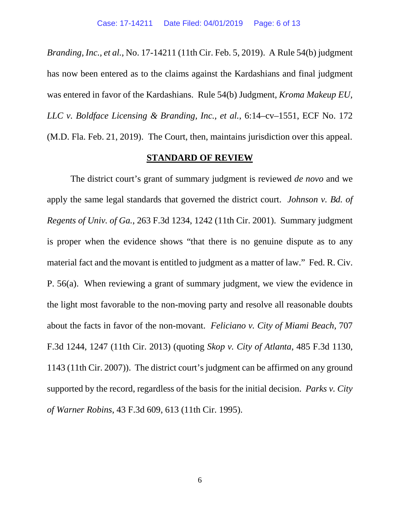*Branding, Inc., et al.*, No. 17-14211 (11th Cir. Feb. 5, 2019). A Rule 54(b) judgment has now been entered as to the claims against the Kardashians and final judgment was entered in favor of the Kardashians. Rule 54(b) Judgment, *Kroma Makeup EU, LLC v. Boldface Licensing & Branding, Inc., et al.*, 6:14–cv–1551, ECF No. 172 (M.D. Fla. Feb. 21, 2019). The Court, then, maintains jurisdiction over this appeal.

### **STANDARD OF REVIEW**

The district court's grant of summary judgment is reviewed *de novo* and we apply the same legal standards that governed the district court. *Johnson v. Bd. of Regents of Univ. of Ga.*, 263 F.3d 1234, 1242 (11th Cir. 2001). Summary judgment is proper when the evidence shows "that there is no genuine dispute as to any material fact and the movant is entitled to judgment as a matter of law." Fed. R. Civ. P. 56(a). When reviewing a grant of summary judgment, we view the evidence in the light most favorable to the non-moving party and resolve all reasonable doubts about the facts in favor of the non-movant. *Feliciano v. City of Miami Beach*, 707 F.3d 1244, 1247 (11th Cir. 2013) (quoting *Skop v. City of Atlanta*, 485 F.3d 1130, 1143 (11th Cir. 2007)). The district court's judgment can be affirmed on any ground supported by the record, regardless of the basis for the initial decision. *Parks v. City of Warner Robins*, 43 F.3d 609, 613 (11th Cir. 1995).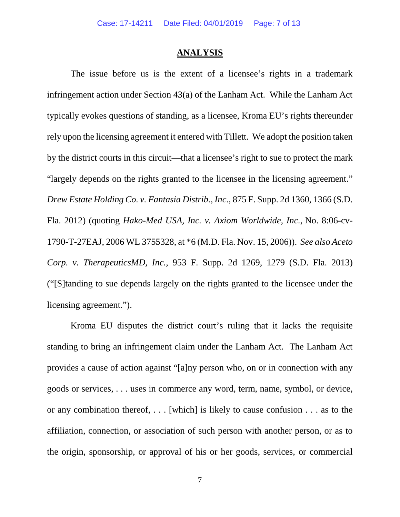#### **ANALYSIS**

The issue before us is the extent of a licensee's rights in a trademark infringement action under Section 43(a) of the Lanham Act. While the Lanham Act typically evokes questions of standing, as a licensee, Kroma EU's rights thereunder rely upon the licensing agreement it entered with Tillett. We adopt the position taken by the district courts in this circuit—that a licensee's right to sue to protect the mark "largely depends on the rights granted to the licensee in the licensing agreement." *Drew Estate Holding Co. v. Fantasia Distrib., Inc.*, 875 F. Supp. 2d 1360, 1366 (S.D. Fla. 2012) (quoting *Hako-Med USA, Inc. v. Axiom Worldwide, Inc.,* No. 8:06-cv-1790-T-27EAJ, 2006 WL 3755328, at \*6 (M.D. Fla. Nov. 15, 2006)). *See also Aceto Corp. v. TherapeuticsMD, Inc.*, 953 F. Supp. 2d 1269, 1279 (S.D. Fla. 2013) ("[S]tanding to sue depends largely on the rights granted to the licensee under the licensing agreement.").

Kroma EU disputes the district court's ruling that it lacks the requisite standing to bring an infringement claim under the Lanham Act. The Lanham Act provides a cause of action against "[a]ny person who, on or in connection with any goods or services, . . . uses in commerce any word, term, name, symbol, or device, or any combination thereof, . . . [which] is likely to cause confusion . . . as to the affiliation, connection, or association of such person with another person, or as to the origin, sponsorship, or approval of his or her goods, services, or commercial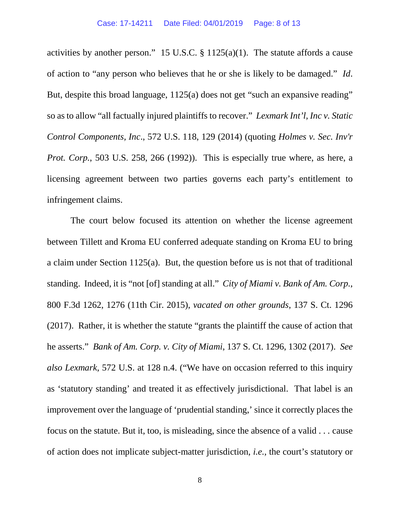activities by another person." 15 U.S.C. § 1125(a)(1). The statute affords a cause of action to "any person who believes that he or she is likely to be damaged." *Id*. But, despite this broad language, 1125(a) does not get "such an expansive reading" so as to allow "all factually injured plaintiffs to recover." *Lexmark Int'l, Inc v. Static Control Components, Inc*., 572 U.S. 118, 129 (2014) (quoting *Holmes v. Sec. Inv'r Prot. Corp.*, 503 U.S. 258, 266 (1992)). This is especially true where, as here, a licensing agreement between two parties governs each party's entitlement to infringement claims.

The court below focused its attention on whether the license agreement between Tillett and Kroma EU conferred adequate standing on Kroma EU to bring a claim under Section 1125(a). But, the question before us is not that of traditional standing. Indeed, it is "not [of] standing at all." *City of Miami v. Bank of Am. Corp.*, 800 F.3d 1262, 1276 (11th Cir. 2015), *vacated on other grounds*, 137 S. Ct. 1296 (2017). Rather, it is whether the statute "grants the plaintiff the cause of action that he asserts." *Bank of Am. Corp. v. City of Miami*, 137 S. Ct. 1296, 1302 (2017). *See also Lexmark*, 572 U.S. at 128 n.4. ("We have on occasion referred to this inquiry as 'statutory standing' and treated it as effectively jurisdictional. That label is an improvement over the language of 'prudential standing,' since it correctly places the focus on the statute. But it, too, is misleading, since the absence of a valid . . . cause of action does not implicate subject-matter jurisdiction, *i.e.*, the court's statutory or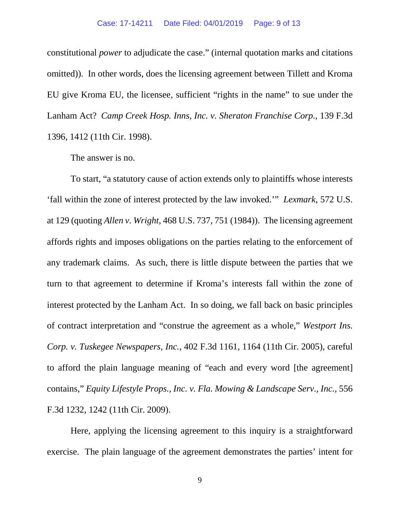constitutional *power* to adjudicate the case." (internal quotation marks and citations omitted)). In other words, does the licensing agreement between Tillett and Kroma EU give Kroma EU, the licensee, sufficient "rights in the name" to sue under the Lanham Act? *Camp Creek Hosp. Inns, Inc. v. Sheraton Franchise Corp.*, 139 F.3d 1396, 1412 (11th Cir. 1998).

The answer is no.

To start, "a statutory cause of action extends only to plaintiffs whose interests 'fall within the zone of interest protected by the law invoked.'" *Lexmark*, 572 U.S. at 129 (quoting *Allen v. Wright*, 468 U.S. 737, 751 (1984)). The licensing agreement affords rights and imposes obligations on the parties relating to the enforcement of any trademark claims. As such, there is little dispute between the parties that we turn to that agreement to determine if Kroma's interests fall within the zone of interest protected by the Lanham Act. In so doing, we fall back on basic principles of contract interpretation and "construe the agreement as a whole," *Westport Ins. Corp. v. Tuskegee Newspapers, Inc.*, 402 F.3d 1161, 1164 (11th Cir. 2005), careful to afford the plain language meaning of "each and every word [the agreement] contains," *Equity Lifestyle Props., Inc. v. Fla. Mowing & Landscape Serv., Inc.*, 556 F.3d 1232, 1242 (11th Cir. 2009).

Here, applying the licensing agreement to this inquiry is a straightforward exercise. The plain language of the agreement demonstrates the parties' intent for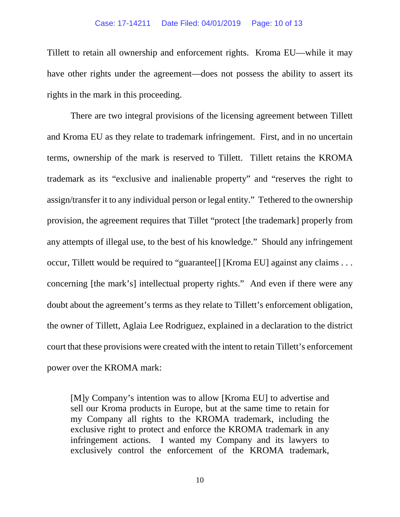#### Case: 17-14211 Date Filed: 04/01/2019 Page: 10 of 13

Tillett to retain all ownership and enforcement rights. Kroma EU—while it may have other rights under the agreement—does not possess the ability to assert its rights in the mark in this proceeding.

There are two integral provisions of the licensing agreement between Tillett and Kroma EU as they relate to trademark infringement. First, and in no uncertain terms, ownership of the mark is reserved to Tillett. Tillett retains the KROMA trademark as its "exclusive and inalienable property" and "reserves the right to assign/transfer it to any individual person or legal entity." Tethered to the ownership provision, the agreement requires that Tillet "protect [the trademark] properly from any attempts of illegal use, to the best of his knowledge." Should any infringement occur, Tillett would be required to "guarantee[] [Kroma EU] against any claims . . . concerning [the mark's] intellectual property rights." And even if there were any doubt about the agreement's terms as they relate to Tillett's enforcement obligation, the owner of Tillett, Aglaia Lee Rodriguez, explained in a declaration to the district court that these provisions were created with the intent to retain Tillett's enforcement power over the KROMA mark:

[M]y Company's intention was to allow [Kroma EU] to advertise and sell our Kroma products in Europe, but at the same time to retain for my Company all rights to the KROMA trademark, including the exclusive right to protect and enforce the KROMA trademark in any infringement actions. I wanted my Company and its lawyers to exclusively control the enforcement of the KROMA trademark,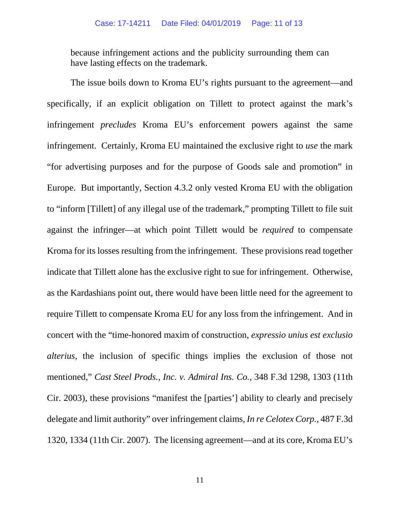because infringement actions and the publicity surrounding them can have lasting effects on the trademark.

The issue boils down to Kroma EU's rights pursuant to the agreement—and specifically, if an explicit obligation on Tillett to protect against the mark's infringement *precludes* Kroma EU's enforcement powers against the same infringement. Certainly, Kroma EU maintained the exclusive right to *use* the mark "for advertising purposes and for the purpose of Goods sale and promotion" in Europe. But importantly, Section 4.3.2 only vested Kroma EU with the obligation to "inform [Tillett] of any illegal use of the trademark," prompting Tillett to file suit against the infringer—at which point Tillett would be *required* to compensate Kroma for its losses resulting from the infringement. These provisions read together indicate that Tillett alone has the exclusive right to sue for infringement. Otherwise, as the Kardashians point out, there would have been little need for the agreement to require Tillett to compensate Kroma EU for any loss from the infringement. And in concert with the "time-honored maxim of construction, *expressio unius est exclusio alterius*, the inclusion of specific things implies the exclusion of those not mentioned," *Cast Steel Prods., Inc. v. Admiral Ins. Co.*, 348 F.3d 1298, 1303 (11th Cir. 2003), these provisions "manifest the [parties'] ability to clearly and precisely delegate and limit authority" over infringement claims, *In re Celotex Corp.*, 487 F.3d 1320, 1334 (11th Cir. 2007). The licensing agreement—and at its core, Kroma EU's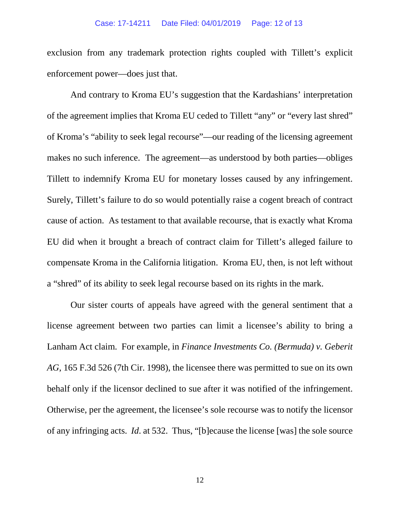exclusion from any trademark protection rights coupled with Tillett's explicit enforcement power—does just that.

And contrary to Kroma EU's suggestion that the Kardashians' interpretation of the agreement implies that Kroma EU ceded to Tillett "any" or "every last shred" of Kroma's "ability to seek legal recourse"—our reading of the licensing agreement makes no such inference. The agreement—as understood by both parties—obliges Tillett to indemnify Kroma EU for monetary losses caused by any infringement. Surely, Tillett's failure to do so would potentially raise a cogent breach of contract cause of action. As testament to that available recourse, that is exactly what Kroma EU did when it brought a breach of contract claim for Tillett's alleged failure to compensate Kroma in the California litigation. Kroma EU, then, is not left without a "shred" of its ability to seek legal recourse based on its rights in the mark.

Our sister courts of appeals have agreed with the general sentiment that a license agreement between two parties can limit a licensee's ability to bring a Lanham Act claim. For example, in *Finance Investments Co. (Bermuda) v. Geberit AG*, 165 F.3d 526 (7th Cir. 1998), the licensee there was permitted to sue on its own behalf only if the licensor declined to sue after it was notified of the infringement. Otherwise, per the agreement, the licensee's sole recourse was to notify the licensor of any infringing acts. *Id*. at 532. Thus, "[b]ecause the license [was] the sole source